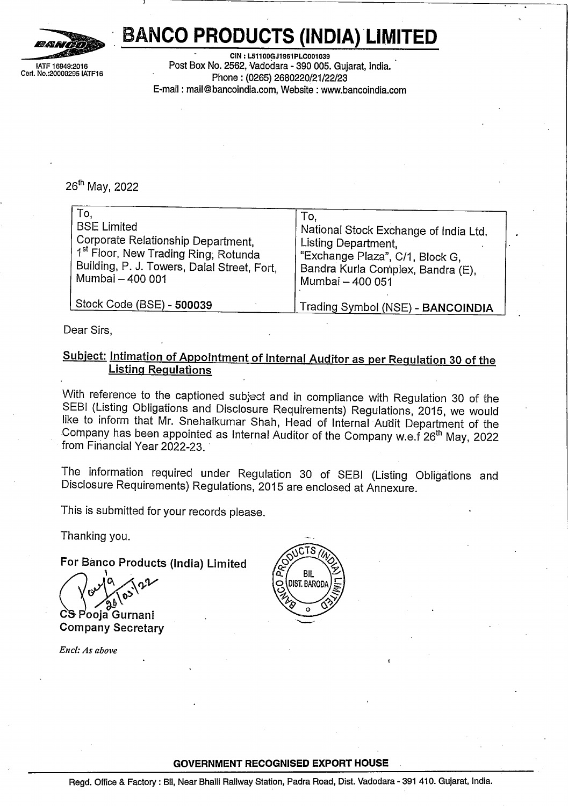

Cert. No.:20000295 IATF16

## **BANCO PRODUCTS (INDIA) LIMITED**

26" May, <sup>2022</sup>

| l:2016<br>295 IATF16                                                                                                                                                     | <b>BANCO PRODUCTS (INDIA) LIMITED</b><br>CIN: L51100GJ1961PLC001039<br>Post Box No. 2562, Vadodara - 390 005. Gujarat, India.                                                                                                        |  |  |  |
|--------------------------------------------------------------------------------------------------------------------------------------------------------------------------|--------------------------------------------------------------------------------------------------------------------------------------------------------------------------------------------------------------------------------------|--|--|--|
| Phone: (0265) 2680220/21/22/23<br>E-mail: mail@bancoindia.com, Website: www.bancoindia.com                                                                               |                                                                                                                                                                                                                                      |  |  |  |
|                                                                                                                                                                          |                                                                                                                                                                                                                                      |  |  |  |
|                                                                                                                                                                          |                                                                                                                                                                                                                                      |  |  |  |
| .6 <sup>th</sup> May, 2022                                                                                                                                               |                                                                                                                                                                                                                                      |  |  |  |
| To,<br>BSE Limited<br>Corporate Relationship Department,                                                                                                                 | Тo,<br>  National Stock Exchange of India Ltd.                                                                                                                                                                                       |  |  |  |
| 1 <sup>st</sup> Floor, New Trading Ring, Rotunda<br>Building, P. J. Towers, Dalal Street, Fort,<br>Mumbai – 400 001                                                      | Listing Department,<br>Exchange Plaza", C/1, Block G,<br>Bandra Kurla Complex, Bandra (E),                                                                                                                                           |  |  |  |
| Stock Code (BSE) - 500039                                                                                                                                                | Mumbai - 400 051<br>Trading Symbol (NSE) - BANCOINDIA                                                                                                                                                                                |  |  |  |
| ear Sirs,                                                                                                                                                                |                                                                                                                                                                                                                                      |  |  |  |
| <b>Listing Regulations</b>                                                                                                                                               | <u>ubject: Intimation of Appointment of Internal Auditor as per Regulation 30 of the</u>                                                                                                                                             |  |  |  |
|                                                                                                                                                                          | /ith reference to the captioned subject and in compliance with Regulation 30 of the<br>EBI (Listing Obligations and Disclosure Requirements) Regulations, 2015, we would<br>te to inform that Mr. Snehalkumar Shah, Head of Internal |  |  |  |
|                                                                                                                                                                          |                                                                                                                                                                                                                                      |  |  |  |
|                                                                                                                                                                          |                                                                                                                                                                                                                                      |  |  |  |
| ompany has been appointed as Internal Auditor of the Company w.e.f 26 <sup>th</sup> May, 2022<br>om Financial Year 2022-23.<br>iis is submitted for your records please. | he  information  required  under  Regulation  30  of  SEBI  (Listing  Obligations  and<br>isclosure Requirements) Regulations, 2015 are enclosed at Annexure.                                                                        |  |  |  |

Dear Sirs,

## **Subject: Intimation of Appointment of Internal Auditor as per Regulation 30 of the Listing Regulations**

Thanking you.

**For Banco Products (India) Limited** ر چ.<br>ncc<br>ما

**Company Secretary**<br>
Company Secretary  $\frac{1}{2}$  anco Prode<br>  $\frac{1}{2}$  as  $\frac{1}{2}$  as  $\frac{1}{2}$  as  $\frac{1}{2}$  as  $\frac{1}{2}$  as  $\frac{1}{2}$  as  $\frac{1}{2}$  as  $\frac{1}{2}$  as  $\frac{1}{2}$  as  $\frac{1}{2}$  as  $\frac{1}{2}$  as  $\frac{1}{2}$  as  $\frac{1}{2}$  as  $\frac{1}{2}$  as  $\frac{1}{2}$  as  $\frac{$ **Call 10** CS Pooja Gurnani

*Encl: As above*



#### **GOVERNMENT RECOGNISED EXPORT HOUSE**